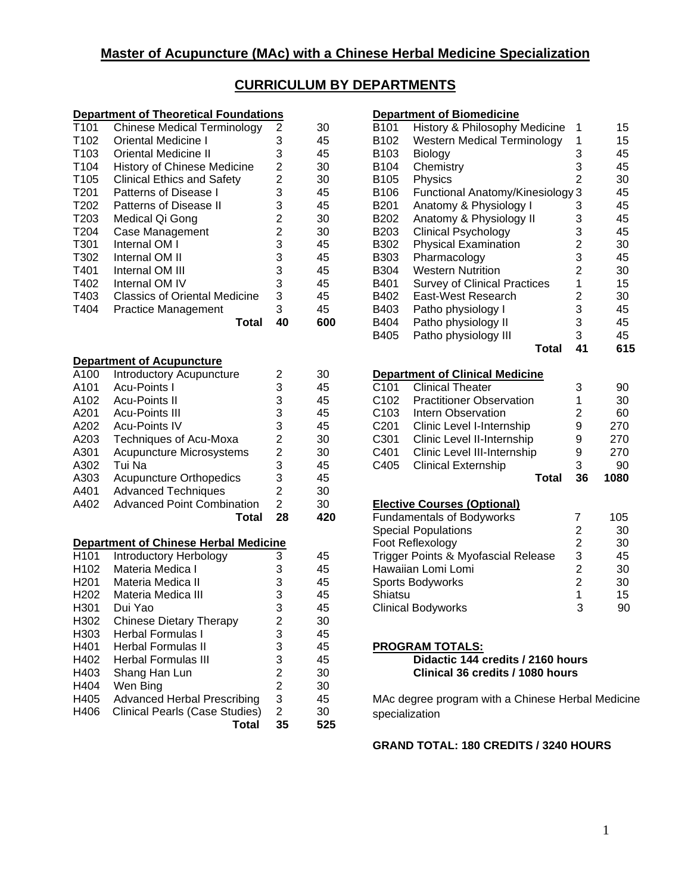# **CURRICULUM BY DEPARTMENTS**

#### **Department of Theoretical Foundations**

| T <sub>101</sub> | <b>Chinese Medical Terminology</b>   | 2  | 30  |
|------------------|--------------------------------------|----|-----|
| T <sub>102</sub> | Oriental Medicine I                  | 3  | 45  |
| T <sub>103</sub> | <b>Oriental Medicine II</b>          | 3  | 45  |
| T <sub>104</sub> | <b>History of Chinese Medicine</b>   | 2  | 30  |
| T <sub>105</sub> | <b>Clinical Ethics and Safety</b>    | 2  | 30  |
| T <sub>201</sub> | Patterns of Disease I                | 3  | 45  |
| T <sub>202</sub> | Patterns of Disease II               | 3  | 45  |
| T <sub>203</sub> | Medical Qi Gong                      | 2  | 30  |
| T204             | Case Management                      | 2  | 30  |
| T301             | Internal OM I                        | 3  | 45  |
| T302             | Internal OM II                       | 3  | 45  |
| T401             | Internal OM III                      | 3  | 45  |
| T402             | Internal OM IV                       | 3  | 45  |
| T403             | <b>Classics of Oriental Medicine</b> | 3  | 45  |
| T404             | <b>Practice Management</b>           | 3  | 45  |
|                  | Total                                | 40 | 600 |

#### **Department of Acupuncture**

| A100             | Introductory Acupuncture          | 2  | 30  |
|------------------|-----------------------------------|----|-----|
| A <sub>101</sub> | Acu-Points I                      | 3  | 45  |
| A102             | <b>Acu-Points II</b>              | 3  | 45  |
| A201             | <b>Acu-Points III</b>             | 3  | 45  |
| A202             | <b>Acu-Points IV</b>              | 3  | 45  |
| A203             | Techniques of Acu-Moxa            | 2  | 30  |
| A301             | Acupuncture Microsystems          | 2  | 30  |
| A302             | Tui Na                            | 3  | 45  |
| A303             | <b>Acupuncture Orthopedics</b>    | 3  | 45  |
| A401             | <b>Advanced Techniques</b>        | 2  | 30  |
| A402             | <b>Advanced Point Combination</b> | 2  | 30  |
|                  | Total                             | 28 | 420 |

#### **Department of Chinese Herbal Medicine**

| Introductory Herbology             | 3  | 45  |
|------------------------------------|----|-----|
| Materia Medica I                   | 3  | 45  |
| Materia Medica II                  | 3  | 45  |
| Materia Medica III                 | 3  | 45  |
| Dui Yao                            | 3  | 45  |
| Chinese Dietary Therapy            | 2  | 30  |
| Herbal Formulas I                  | 3  | 45  |
| Herbal Formulas II                 | 3  | 45  |
| Herbal Formulas III                | 3  | 45  |
| Shang Han Lun                      | 2  | 30  |
| Wen Bing                           | 2  | 30  |
| <b>Advanced Herbal Prescribing</b> | 3  | 45  |
| Clinical Pearls (Case Studies)     | 2  | 30  |
| Total                              | 35 | 525 |
|                                    |    |     |

#### **Department of Biomedicine**  B101 History & Philosophy Medicine 1 15 B102 Western Medical Terminology 1 15 B103 Biology 3 45 B104 Chemistry 3 45 B105 Physics 2 30<br>B106 Functional Anatomy/Kinesiology 3 45 Functional Anatomy/Kinesiology 3 B201 Anatomy & Physiology I 3 45 B202 Anatomy & Physiology II 3 45<br>B203 Clinical Psychology 3 45 Clinical Psychology  $\begin{array}{ccc} 3 & 45 \\ \text{Physical Examination} & 2 & 30 \end{array}$ B302 Physical Examination B303 Pharmacology 3 45 B304 Western Nutrition 2 30 B401 Survey of Clinical Practices 1 15 B402 East-West Research 2 30<br>B403 Patho physiology I 3 45 Patho physiology I 3 45 B404 Patho physiology II 3 45 B405 Patho physiology III 3 45

#### **Total 41 615**

#### **Department of Clinical Medicine**

| C <sub>101</sub> | <b>Clinical Theater</b>         | 3  | 90   |
|------------------|---------------------------------|----|------|
| C <sub>102</sub> | <b>Practitioner Observation</b> | 1  | 30   |
| C <sub>103</sub> | Intern Observation              | 2  | 60   |
| C <sub>201</sub> | Clinic Level I-Internship       | 9  | 270  |
| C <sub>301</sub> | Clinic Level II-Internship      | 9  | 270  |
| C401             | Clinic Level III-Internship     | 9  | 270  |
| C405             | <b>Clinical Externship</b>      | 3  | 90   |
|                  | Total                           | 36 | 1080 |
|                  |                                 |    |      |

## **Elective Courses (Optional)**

| <b>Fundamentals of Bodyworks</b>    |   | 105 |
|-------------------------------------|---|-----|
| <b>Special Populations</b>          | 2 | 30  |
| Foot Reflexology                    | 2 | 30  |
| Trigger Points & Myofascial Release | 3 | 45  |
| Hawaiian Lomi Lomi                  | 2 | 30  |
| Sports Bodyworks                    | 2 | 30  |
| Shiatsu                             | 1 | 15  |
| <b>Clinical Bodyworks</b>           | 3 | 90  |

#### **PROGRAM TOTALS:**

**Didactic 144 credits / 2160 hours Clinical 36 credits / 1080 hours**

MAc degree program with a Chinese Herbal Medicine specialization

### **GRAND TOTAL: 180 CREDITS / 3240 HOURS**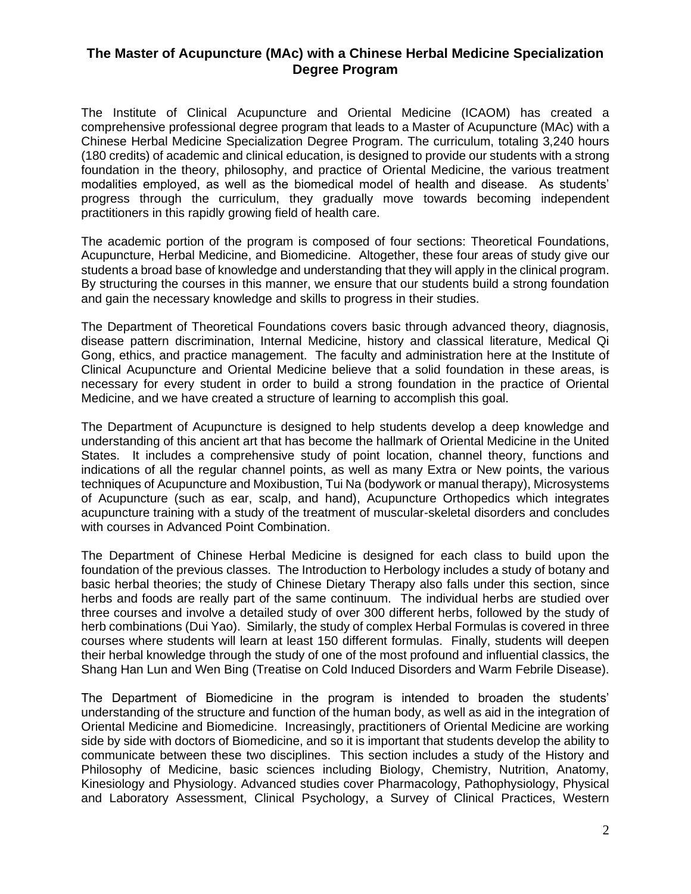## **The Master of Acupuncture (MAc) with a Chinese Herbal Medicine Specialization Degree Program**

The Institute of Clinical Acupuncture and Oriental Medicine (ICAOM) has created a comprehensive professional degree program that leads to a Master of Acupuncture (MAc) with a Chinese Herbal Medicine Specialization Degree Program. The curriculum, totaling 3,240 hours (180 credits) of academic and clinical education, is designed to provide our students with a strong foundation in the theory, philosophy, and practice of Oriental Medicine, the various treatment modalities employed, as well as the biomedical model of health and disease. As students' progress through the curriculum, they gradually move towards becoming independent practitioners in this rapidly growing field of health care.

The academic portion of the program is composed of four sections: Theoretical Foundations, Acupuncture, Herbal Medicine, and Biomedicine. Altogether, these four areas of study give our students a broad base of knowledge and understanding that they will apply in the clinical program. By structuring the courses in this manner, we ensure that our students build a strong foundation and gain the necessary knowledge and skills to progress in their studies.

The Department of Theoretical Foundations covers basic through advanced theory, diagnosis, disease pattern discrimination, Internal Medicine, history and classical literature, Medical Qi Gong, ethics, and practice management. The faculty and administration here at the Institute of Clinical Acupuncture and Oriental Medicine believe that a solid foundation in these areas, is necessary for every student in order to build a strong foundation in the practice of Oriental Medicine, and we have created a structure of learning to accomplish this goal.

The Department of Acupuncture is designed to help students develop a deep knowledge and understanding of this ancient art that has become the hallmark of Oriental Medicine in the United States. It includes a comprehensive study of point location, channel theory, functions and indications of all the regular channel points, as well as many Extra or New points, the various techniques of Acupuncture and Moxibustion, Tui Na (bodywork or manual therapy), Microsystems of Acupuncture (such as ear, scalp, and hand), Acupuncture Orthopedics which integrates acupuncture training with a study of the treatment of muscular-skeletal disorders and concludes with courses in Advanced Point Combination.

The Department of Chinese Herbal Medicine is designed for each class to build upon the foundation of the previous classes. The Introduction to Herbology includes a study of botany and basic herbal theories; the study of Chinese Dietary Therapy also falls under this section, since herbs and foods are really part of the same continuum. The individual herbs are studied over three courses and involve a detailed study of over 300 different herbs, followed by the study of herb combinations (Dui Yao). Similarly, the study of complex Herbal Formulas is covered in three courses where students will learn at least 150 different formulas. Finally, students will deepen their herbal knowledge through the study of one of the most profound and influential classics, the Shang Han Lun and Wen Bing (Treatise on Cold Induced Disorders and Warm Febrile Disease).

The Department of Biomedicine in the program is intended to broaden the students' understanding of the structure and function of the human body, as well as aid in the integration of Oriental Medicine and Biomedicine. Increasingly, practitioners of Oriental Medicine are working side by side with doctors of Biomedicine, and so it is important that students develop the ability to communicate between these two disciplines. This section includes a study of the History and Philosophy of Medicine, basic sciences including Biology, Chemistry, Nutrition, Anatomy, Kinesiology and Physiology. Advanced studies cover Pharmacology, Pathophysiology, Physical and Laboratory Assessment, Clinical Psychology, a Survey of Clinical Practices, Western